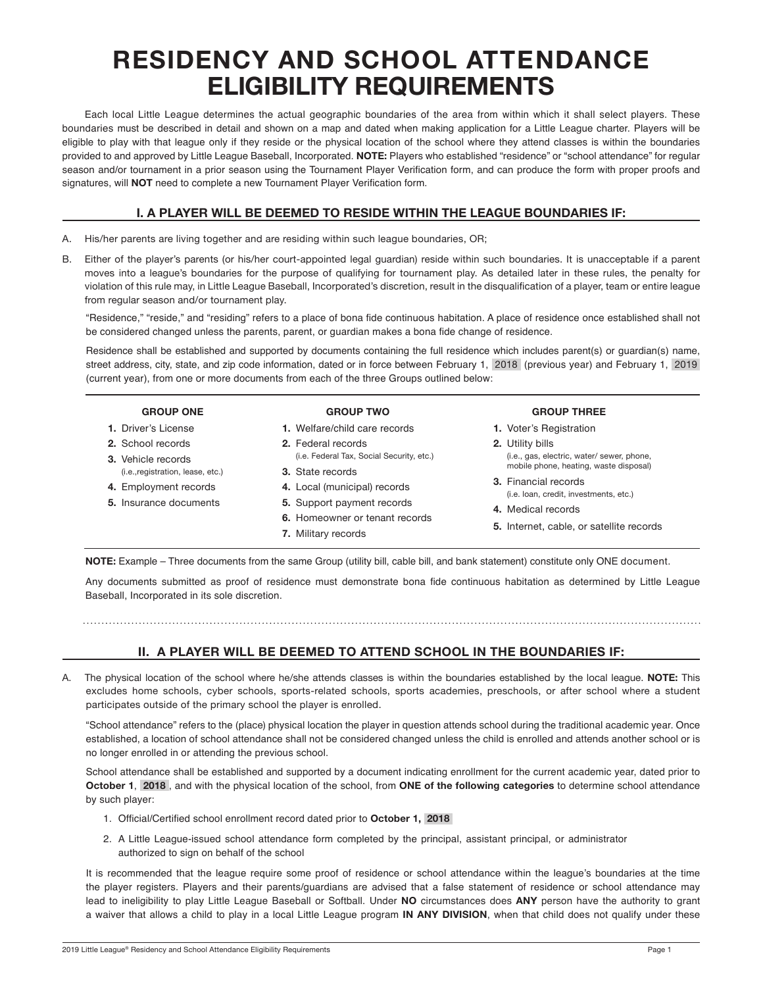# **RESIDENCY AND SCHOOL ATTENDANCE ELIGIBILITY REQUIREMENTS**

Each local Little League determines the actual geographic boundaries of the area from within which it shall select players. These boundaries must be described in detail and shown on a map and dated when making application for a Little League charter. Players will be eligible to play with that league only if they reside or the physical location of the school where they attend classes is within the boundaries provided to and approved by Little League Baseball, Incorporated. **NOTE:** Players who established "residence" or "school attendance" for regular season and/or tournament in a prior season using the Tournament Player Verification form, and can produce the form with proper proofs and signatures, will **NOT** need to complete a new Tournament Player Verification form.

#### **I. A PLAYER WILL BE DEEMED TO RESIDE WITHIN THE LEAGUE BOUNDARIES IF:**

- A. His/her parents are living together and are residing within such league boundaries, OR;
- B. Either of the player's parents (or his/her court-appointed legal guardian) reside within such boundaries. It is unacceptable if a parent moves into a league's boundaries for the purpose of qualifying for tournament play. As detailed later in these rules, the penalty for violation of this rule may, in Little League Baseball, Incorporated's discretion, result in the disqualification of a player, team or entire league from regular season and/or tournament play.

"Residence," "reside," and "residing" refers to a place of bona fide continuous habitation. A place of residence once established shall not be considered changed unless the parents, parent, or guardian makes a bona fide change of residence.

Residence shall be established and supported by documents containing the full residence which includes parent(s) or guardian(s) name, street address, city, state, and zip code information, dated or in force between February 1, 2018 (previous year) and February 1, 2019. (current year), from one or more documents from each of the three Groups outlined below:

| <b>GROUP ONE</b>                                                                     | <b>GROUP TWO</b>                                                                                                                                         | <b>GROUP THREE</b>                                                                                       |
|--------------------------------------------------------------------------------------|----------------------------------------------------------------------------------------------------------------------------------------------------------|----------------------------------------------------------------------------------------------------------|
| <b>1.</b> Driver's License                                                           | 1. Welfare/child care records                                                                                                                            | 1. Voter's Registration                                                                                  |
| 2. School records<br><b>3.</b> Vehicle records                                       | 2. Federal records<br>(i.e. Federal Tax, Social Security, etc.)<br><b>3.</b> State records<br>4. Local (municipal) records<br>5. Support payment records | 2. Utility bills<br>(i.e., gas, electric, water/ sewer, phone,<br>mobile phone, heating, waste disposal) |
| (i.e., registration, lease, etc.)<br>4. Employment records<br>5. Insurance documents |                                                                                                                                                          | <b>3.</b> Financial records<br>(i.e. loan, credit, investments, etc.)<br>4. Medical records              |
|                                                                                      | 6. Homeowner or tenant records<br>7. Military records                                                                                                    | 5. Internet, cable, or satellite records                                                                 |

**NOTE:** Example – Three documents from the same Group (utility bill, cable bill, and bank statement) constitute only ONE document.

Any documents submitted as proof of residence must demonstrate bona fide continuous habitation as determined by Little League Baseball, Incorporated in its sole discretion.

## **II. A PLAYER WILL BE DEEMED TO ATTEND SCHOOL IN THE BOUNDARIES IF:**

A. The physical location of the school where he/she attends classes is within the boundaries established by the local league. **NOTE:** This excludes home schools, cyber schools, sports-related schools, sports academies, preschools, or after school where a student participates outside of the primary school the player is enrolled.

"School attendance" refers to the (place) physical location the player in question attends school during the traditional academic year. Once established, a location of school attendance shall not be considered changed unless the child is enrolled and attends another school or is no longer enrolled in or attending the previous school.

School attendance shall be established and supported by a document indicating enrollment for the current academic year, dated prior to **October 1**, **2018** , and with the physical location of the school, from **ONE of the following categories** to determine school attendance by such player:

- 1. Official/Certified school enrollment record dated prior to **October 1, 2018**
- 2. A Little League-issued school attendance form completed by the principal, assistant principal, or administrator authorized to sign on behalf of the school

It is recommended that the league require some proof of residence or school attendance within the league's boundaries at the time the player registers. Players and their parents/guardians are advised that a false statement of residence or school attendance may lead to ineligibility to play Little League Baseball or Softball. Under **NO** circumstances does **ANY** person have the authority to grant a waiver that allows a child to play in a local Little League program **IN ANY DIVISION**, when that child does not qualify under these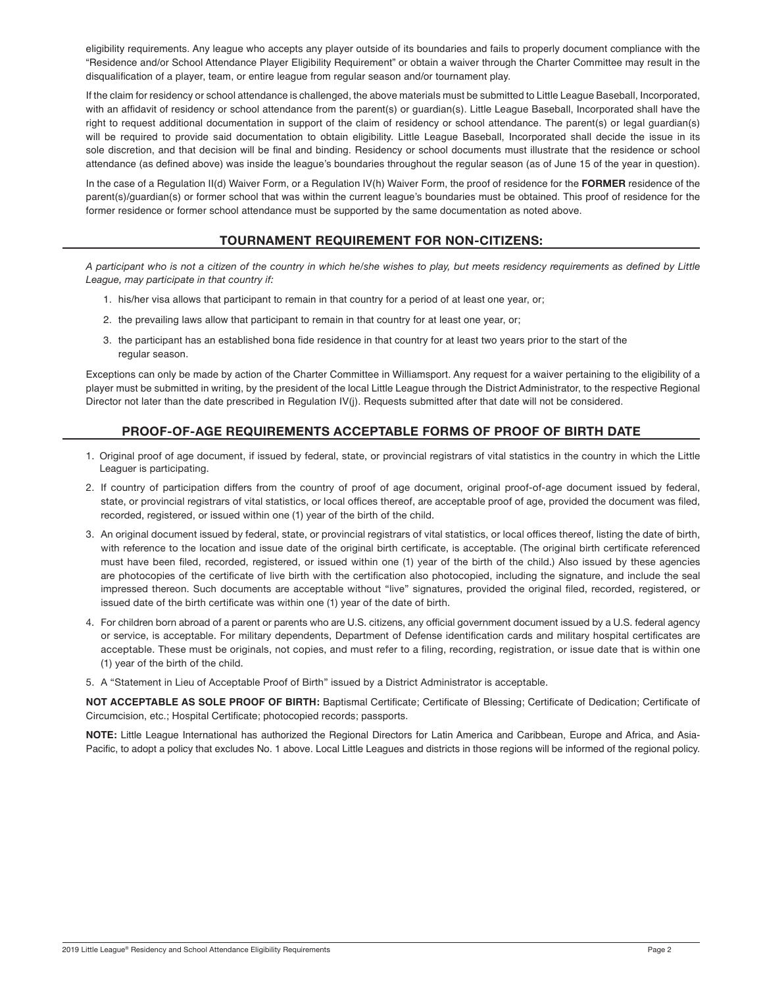eligibility requirements. Any league who accepts any player outside of its boundaries and fails to properly document compliance with the "Residence and/or School Attendance Player Eligibility Requirement" or obtain a waiver through the Charter Committee may result in the disqualification of a player, team, or entire league from regular season and/or tournament play.

If the claim for residency or school attendance is challenged, the above materials must be submitted to Little League Baseball, Incorporated, with an affidavit of residency or school attendance from the parent(s) or guardian(s). Little League Baseball, Incorporated shall have the right to request additional documentation in support of the claim of residency or school attendance. The parent(s) or legal guardian(s) will be required to provide said documentation to obtain eligibility. Little League Baseball, Incorporated shall decide the issue in its sole discretion, and that decision will be final and binding. Residency or school documents must illustrate that the residence or school attendance (as defined above) was inside the league's boundaries throughout the regular season (as of June 15 of the year in question).

In the case of a [Regulation II\(d\) Waiver Form,](https://ll-production-uploads.s3.amazonaws.com/uploads/2017/12/Regulation-IId-1.pdf) or a [Regulation IV\(h\) Waiver Form,](https://ll-production-uploads.s3.amazonaws.com/uploads/2017/12/Regulation-IVh-1.pdf) the proof of residence for the **FORMER** residence of the parent(s)/guardian(s) or former school that was within the current league's boundaries must be obtained. This proof of residence for the former residence or former school attendance must be supported by the same documentation as noted above.

## **TOURNAMENT REQUIREMENT FOR NON-CITIZENS:**

*A participant who is not a citizen of the country in which he/she wishes to play, but meets residency requirements as defined by Little League, may participate in that country if:*

- 1. his/her visa allows that participant to remain in that country for a period of at least one year, or;
- 2. the prevailing laws allow that participant to remain in that country for at least one year, or;
- 3. the participant has an established bona fide residence in that country for at least two years prior to the start of the regular season.

Exceptions can only be made by action of the Charter Committee in Williamsport. Any request for a waiver pertaining to the eligibility of a player must be submitted in writing, by the president of the local Little League through the District Administrator, to the respective Regional Director not later than the date prescribed in Regulation IV(j). Requests submitted after that date will not be considered.

#### **PROOF-OF-AGE REQUIREMENTS ACCEPTABLE FORMS OF PROOF OF BIRTH DATE**

- 1. Original proof of age document, if issued by federal, state, or provincial registrars of vital statistics in the country in which the Little Leaguer is participating.
- 2. If country of participation differs from the country of proof of age document, original proof-of-age document issued by federal, state, or provincial registrars of vital statistics, or local offices thereof, are acceptable proof of age, provided the document was filed, recorded, registered, or issued within one (1) year of the birth of the child.
- 3. An original document issued by federal, state, or provincial registrars of vital statistics, or local offices thereof, listing the date of birth, with reference to the location and issue date of the original birth certificate, is acceptable. (The original birth certificate referenced must have been filed, recorded, registered, or issued within one (1) year of the birth of the child.) Also issued by these agencies are photocopies of the certificate of live birth with the certification also photocopied, including the signature, and include the seal impressed thereon. Such documents are acceptable without "live" signatures, provided the original filed, recorded, registered, or issued date of the birth certificate was within one (1) year of the date of birth.
- 4. For children born abroad of a parent or parents who are U.S. citizens, any official government document issued by a U.S. federal agency or service, is acceptable. For military dependents, Department of Defense identification cards and military hospital certificates are acceptable. These must be originals, not copies, and must refer to a filing, recording, registration, or issue date that is within one (1) year of the birth of the child.
- 5. A "Statement in Lieu of Acceptable Proof of Birth" issued by a District Administrator is acceptable.

**NOT ACCEPTABLE AS SOLE PROOF OF BIRTH:** Baptismal Certificate; Certificate of Blessing; Certificate of Dedication; Certificate of Circumcision, etc.; Hospital Certificate; photocopied records; passports.

**NOTE:** Little League International has authorized the Regional Directors for Latin America and Caribbean, Europe and Africa, and Asia-Pacific, to adopt a policy that excludes No. 1 above. Local Little Leagues and districts in those regions will be informed of the regional policy.